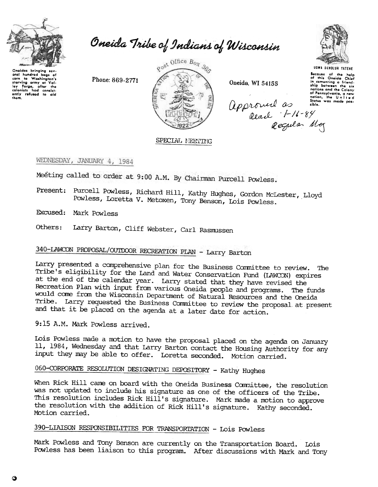

thom.

Oneida Tribe of Indians of Wisconsin

Phone: 869-2771



Oneida, WI 54155



From survey in the help<br>of this Oneida Chief<br>of this Oneida Chief<br>ship botween the six<br>nations and the Colony<br>of Pennsylvania, a new<br>Sitos was made pos-<br>Sitos was made pos-<br>sible. approved as stores

### SPECIAL MEETING

# WEDNESDAY, JANUARY 4, 1984

Meeting called to order at 9:00 A.M. By Chairman Purcell Powless.

Present: Purcell Powless, Richard Hill, Kathy Hughes, Gordon McLester, Lloyd Powless, Loretta V. Metoxen, Tony Benson, Lois Powless.

Excused: Mark Powless

Larry Barton, Cliff Webster, Carl Rasmussen Others:

# 340-LAWCON PROPOSAL/OUTDOOR RECREATION PLAN - Larry Barton

Larry presented a comprehensive plan for the Business Committee to review. The Tribe's eligibility for the Land and Water Conservation Fund (LAWCON) expires at the end of the calendar year. Larry stated that they have revised the Recreation Plan with input from various Oneida people and programs. The funds would come from the Wisconsin Department of Natural Resources and the Oneida Tribe. Larry requested the Business Committee to review the proposal at present and that it be placed on the agenda at a later date for action.

9:15 A.M. Mark Powless arrived.

Lois Powless made a motion to have the proposal placed on the agenda on January 11, 1984, Wednesday and that Larry Barton contact the Housing Authority for any input they may be able to offer. Loretta seconded. Motion carried.

# 060-CORPORATE RESOLUTION DESIGNATING DEPOSITORY - Kathy Hughes

When Rick Hill came on board with the Oneida Business Committee, the resolution was not updated to include his signature as one of the officers of the Tribe. This resolution includes Rick Hill's signature. Mark made a motion to approve the resolution with the addition of Rick Hill's signature. Kathy seconded. Motion carried.

# 390-LIAISON RESPONSIBILITIES FOR TRANSPORTATION - Lois Powless

Mark Powless and Tony Benson are currently on the Transportation Board. Lois Powless has been liaison to this program. After discussions with Mark and Tony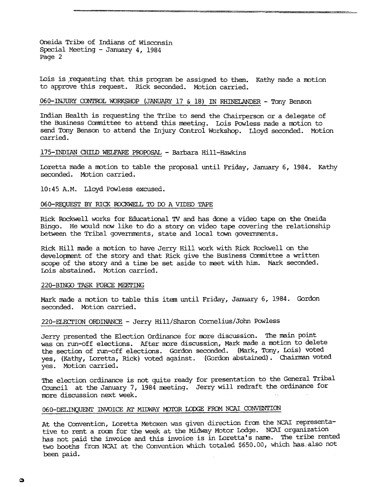Oneida Tribe of Indians of Wisconsin Special Meeting -January 4, 1984 Page 2

Lois is requesting that this program be assigned to them. Kathy made a motion to approve this request. Rick seconded. Motion carried.

#### 060-INJURY CONTROL WORKSHOP (JANUARY 17  $\&$  18) IN RHINELANDER - Tony Benson

Indian Health is requesting the Tribe to send the Chairperson or a delegate of the Business Committee to attend this meeting. Lois Powless made a motion to send Tony Benson to attend the Injury Control Workshop. Lloyd seconded. Motion carried.

#### 175-INDIAN CHILD WELFARE PROPOSAL - Barbara Hill-Hawkins

Loretta made a motion to table the proposal until Friday, January 6, 1984. Kathy seconded. Motion carried.

10:45 A.M. Lloyd Powless excused.

#### 060-REQUEST BY RICK ROCKWEIL TO DO A VIDEO TAPE

Rick Rockwell works for Educational TV and has done a video tape on the Oneida Bingo. He would now like to do a story on video tape covering the relationship between the Tribal governments, state and local town governments.

Rick Hill made a motion to have Jerry Hill work with Rick Rockwell on the development of the story and that Rick give the Business Committee a written scope of the story and a time be set aside to meet with him. Mark seconded. Lois abstained. Motion carried.

#### 220-BINGO TASK FORCE MEErING

Mark made a motion to table this item until Friday, January 6, 1984. Gordon seconded. Motion carried.

# 220-ELECrION ORDINANCE -Jerry Hill/Sharon Cornelius/John Powless

Jerry presented the Election Ordinance for more discussion. The main point was on run-off elections. After more discussion, Mark made a motion to delete the section of run-off elections. Gordon seconded. (Mark, Tony, Lois) voted yes, (Kathy, Loretta, Rick) voted against. (Gordon abstained). Chairman voted yes. Motion carried.

The election ordinance is not quite ready for presentation to the General Tribal Council at the January 7, 1984 neeting. Jerry will redraft the ordinance for more discussion next week.

# 060-DELINQUENT INVOICE AT MIDWAY MOTOR LODGE FROM NCAI CONVENTION

At the Convention, Loretta Metoxen was given direction from the NCAI representative to rent a room for the week at the Midway Motor Lodge. NCAI organization has not paid the invoice and this invoice is in Loretta's name. The tribe rented two booths from NCAI at the Convention which totaled \$650.00, which has;also not been paid.